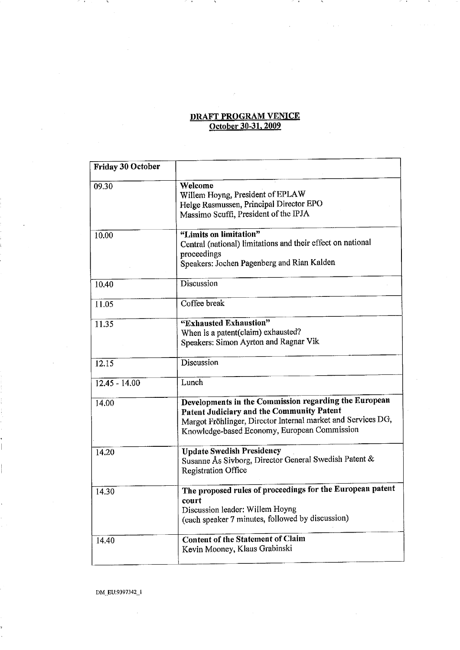## <u>DRAFT PROGRAM VENICE</u> October 30-31, 2009

 $\bar{z}$ 

 $\sim$   $\sim$ 

 $\cdot$ 

 $\rightarrow$ 

| Friday 30 October |                                                                                                                                                                                                                    |
|-------------------|--------------------------------------------------------------------------------------------------------------------------------------------------------------------------------------------------------------------|
| 09.30             | Welcome<br>Willem Hoyng, President of EPLAW<br>Helge Rasmussen, Principal Director EPO<br>Massimo Scuffi, President of the IPJA                                                                                    |
| 10.00             | "Limits on limitation"<br>Central (national) limitations and their effect on national<br>proceedings<br>Speakers: Jochen Pagenberg and Rian Kalden                                                                 |
| 10.40             | Discussion                                                                                                                                                                                                         |
| 11.05             | Coffee break                                                                                                                                                                                                       |
| 11.35             | "Exhausted Exhaustion"<br>When is a patent(claim) exhausted?<br>Speakers: Simon Ayrton and Ragnar Vik                                                                                                              |
| 12.15             | Discussion                                                                                                                                                                                                         |
| $12.45 - 14.00$   | Lunch                                                                                                                                                                                                              |
| 14.00             | Developments in the Commission regarding the European<br>Patent Judiciary and the Community Patent<br>Margot Fröhlinger, Director Internal market and Services DG,<br>Knowledge-based Economy, European Commission |
| 14.20             | <b>Update Swedish Presidency</b><br>Susanne Ås Sivborg, Director General Swedish Patent &<br><b>Registration Office</b>                                                                                            |
| 14.30             | The proposed rules of proceedings for the European patent<br>court<br>Discussion leader: Willem Hoyng<br>(each speaker 7 minutes, followed by discussion)                                                          |
| 14.40             | <b>Content of the Statement of Claim</b><br>Kevin Mooney, Klaus Grabinski                                                                                                                                          |

DM~EU:9397342\_1

 $\cdot$ 

 $\mathcal{L}$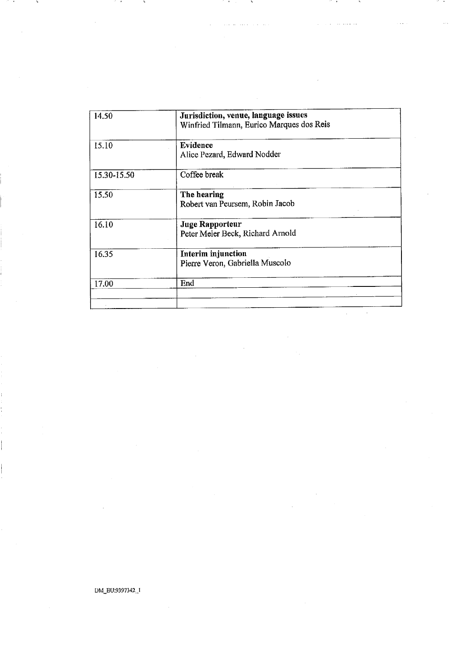| 14.50       | Jurisdiction, venue, language issues<br>Winfried Tilmann, Eurico Marques dos Reis |  |
|-------------|-----------------------------------------------------------------------------------|--|
| 15.10       | Evidence<br>Alice Pezard, Edward Nodder                                           |  |
| 15.30-15.50 | Coffee break                                                                      |  |
| 15.50       | The hearing<br>Robert van Peursem, Robin Jacob                                    |  |
| 16.10       | <b>Juge Rapporteur</b><br>Peter Meier Beck, Richard Arnold                        |  |
| 16.35       | Interim injunction<br>Pierre Veron, Gabriella Muscolo                             |  |
| 17.00       | End                                                                               |  |
|             |                                                                                   |  |